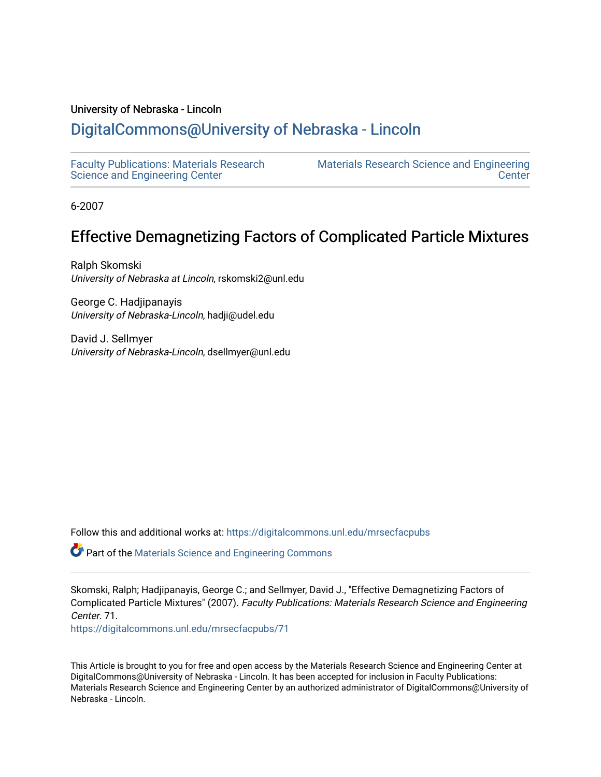### University of Nebraska - Lincoln

# [DigitalCommons@University of Nebraska - Lincoln](https://digitalcommons.unl.edu/)

[Faculty Publications: Materials Research](https://digitalcommons.unl.edu/mrsecfacpubs)  [Science and Engineering Center](https://digitalcommons.unl.edu/mrsecfacpubs) 

[Materials Research Science and Engineering](https://digitalcommons.unl.edu/materialsresearchscieeng)  **Center** 

6-2007

# Effective Demagnetizing Factors of Complicated Particle Mixtures

Ralph Skomski University of Nebraska at Lincoln, rskomski2@unl.edu

George C. Hadjipanayis University of Nebraska-Lincoln, hadji@udel.edu

David J. Sellmyer University of Nebraska-Lincoln, dsellmyer@unl.edu

Follow this and additional works at: [https://digitalcommons.unl.edu/mrsecfacpubs](https://digitalcommons.unl.edu/mrsecfacpubs?utm_source=digitalcommons.unl.edu%2Fmrsecfacpubs%2F71&utm_medium=PDF&utm_campaign=PDFCoverPages) 

Part of the [Materials Science and Engineering Commons](http://network.bepress.com/hgg/discipline/285?utm_source=digitalcommons.unl.edu%2Fmrsecfacpubs%2F71&utm_medium=PDF&utm_campaign=PDFCoverPages) 

Skomski, Ralph; Hadjipanayis, George C.; and Sellmyer, David J., "Effective Demagnetizing Factors of Complicated Particle Mixtures" (2007). Faculty Publications: Materials Research Science and Engineering Center. 71.

[https://digitalcommons.unl.edu/mrsecfacpubs/71](https://digitalcommons.unl.edu/mrsecfacpubs/71?utm_source=digitalcommons.unl.edu%2Fmrsecfacpubs%2F71&utm_medium=PDF&utm_campaign=PDFCoverPages) 

This Article is brought to you for free and open access by the Materials Research Science and Engineering Center at DigitalCommons@University of Nebraska - Lincoln. It has been accepted for inclusion in Faculty Publications: Materials Research Science and Engineering Center by an authorized administrator of DigitalCommons@University of Nebraska - Lincoln.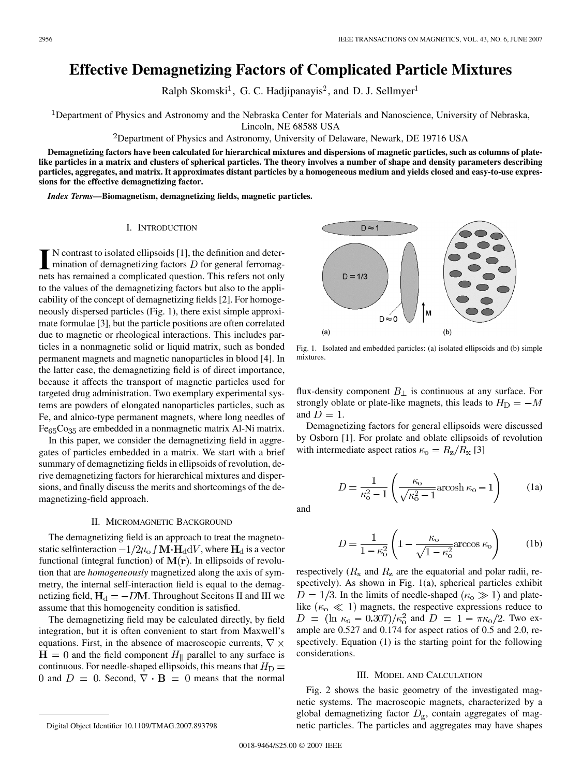### **Effective Demagnetizing Factors of Complicated Particle Mixtures**

Ralph Skomski<sup>1</sup>, G. C. Hadjipanayis<sup>2</sup>, and D. J. Sellmyer<sup>1</sup>

Department of Physics and Astronomy and the Nebraska Center for Materials and Nanoscience, University of Nebraska,

Lincoln, NE 68588 USA

<sup>2</sup>Department of Physics and Astronomy, University of Delaware, Newark, DE 19716 USA

**Demagnetizing factors have been calculated for hierarchical mixtures and dispersions of magnetic particles, such as columns of platelike particles in a matrix and clusters of spherical particles. The theory involves a number of shape and density parameters describing particles, aggregates, and matrix. It approximates distant particles by a homogeneous medium and yields closed and easy-to-use expressions for the effective demagnetizing factor.**

*Index Terms—***Biomagnetism, demagnetizing fields, magnetic particles.**

#### I. INTRODUCTION

**I** N contrast to isolated ellipsoids [1], the definition and determination of demagnetizing factors  $D$  for general ferromagnets has remained a complicated question. This refers not only to the values of the demagnetizing factors but also to the applicability of the concept of demagnetizing fields [2]. For homogeneously dispersed particles (Fig. 1), there exist simple approximate formulae [3], but the particle positions are often correlated due to magnetic or rheological interactions. This includes particles in a nonmagnetic solid or liquid matrix, such as bonded permanent magnets and magnetic nanoparticles in blood [4]. In the latter case, the demagnetizing field is of direct importance, because it affects the transport of magnetic particles used for targeted drug administration. Two exemplary experimental systems are powders of elongated nanoparticles particles, such as Fe, and alnico-type permanent magnets, where long needles of  $Fe<sub>65</sub>Co<sub>35</sub>$  are embedded in a nonmagnetic matrix Al-Ni matrix.

In this paper, we consider the demagnetizing field in aggregates of particles embedded in a matrix. We start with a brief summary of demagnetizing fields in ellipsoids of revolution, derive demagnetizing factors for hierarchical mixtures and dispersions, and finally discuss the merits and shortcomings of the demagnetizing-field approach.

#### II. MICROMAGNETIC BACKGROUND

The demagnetizing field is an approach to treat the magnetostatic selfinteraction  $-1/2\mu_o f \mathbf{M} \cdot \mathbf{H}_d dV$ , where  $\mathbf{H}_d$  is a vector functional (integral function) of  $M(r)$ . In ellipsoids of revolution that are *homogeneously* magnetized along the axis of symmetry, the internal self-interaction field is equal to the demagnetizing field,  $H_d = -DM$ . Throughout Secitons II and III we assume that this homogeneity condition is satisfied.

The demagnetizing field may be calculated directly, by field integration, but it is often convenient to start from Maxwell's equations. First, in the absence of macroscopic currents,  $\nabla \times$  $H = 0$  and the field component  $H_{\parallel}$  parallel to any surface is continuous. For needle-shaped ellipsoids, this means that  $H_D =$ 0 and  $D = 0$ . Second,  $\nabla \cdot \mathbf{B} = 0$  means that the normal

Fig. 1. Isolated and embedded particles: (a) isolated ellipsoids and (b) simple mixtures.

flux-density component  $B_{\perp}$  is continuous at any surface. For strongly oblate or plate-like magnets, this leads to  $H_D = -M$ and  $D = 1$ .

Demagnetizing factors for general ellipsoids were discussed by Osborn [1]. For prolate and oblate ellipsoids of revolution with intermediate aspect ratios  $\kappa_{\rm o} = R_{\rm z}/R_{\rm x}$  [3]

$$
D = \frac{1}{\kappa_0^2 - 1} \left( \frac{\kappa_0}{\sqrt{\kappa_0^2 - 1}} \operatorname{arcosh} \kappa_0 - 1 \right)
$$
 (1a)

and

$$
D = \frac{1}{1 - \kappa_0^2} \left( 1 - \frac{\kappa_0}{\sqrt{1 - \kappa_0^2}} \arccos \kappa_0 \right) \tag{1b}
$$

respectively ( $R_x$  and  $R_z$  are the equatorial and polar radii, respectively). As shown in Fig. 1(a), spherical particles exhibit  $D = 1/3$ . In the limits of needle-shaped ( $\kappa_{\rm o} \gg 1$ ) and platelike ( $\kappa_{\rm o} \ll 1$ ) magnets, the respective expressions reduce to  $D = (\ln \kappa_o - 0.307)/\kappa_o^2$  and  $D = 1 - \pi \kappa_o/2$ . Two example are 0.527 and 0.174 for aspect ratios of 0.5 and 2.0, respectively. Equation (1) is the starting point for the following considerations.

#### III. MODEL AND CALCULATION

Fig. 2 shows the basic geometry of the investigated magnetic systems. The macroscopic magnets, characterized by a global demagnetizing factor  $D_{\rm g}$ , contain aggregates of magnetic particles. The particles and aggregates may have shapes

 $D \approx 1$  $D = 1/3$ M  $D \approx 0$  $(b)$  $(a)$ 

Digital Object Identifier 10.1109/TMAG.2007.893798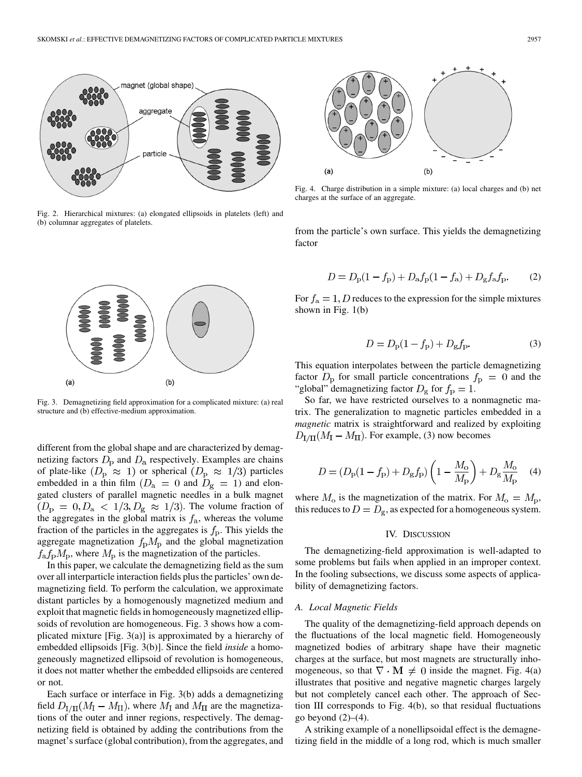

Fig. 2. Hierarchical mixtures: (a) elongated ellipsoids in platelets (left) and (b) columnar aggregates of platelets.



Fig. 3. Demagnetizing field approximation for a complicated mixture: (a) real structure and (b) effective-medium approximation.

different from the global shape and are characterized by demagnetizing factors  $D_{\rm p}$  and  $D_{\rm a}$  respectively. Examples are chains of plate-like  $(D_{\rm p} \approx 1)$  or spherical  $(D_{\rm p} \approx 1/3)$  particles embedded in a thin film  $(D_a = 0 \text{ and } D_g = 1)$  and elongated clusters of parallel magnetic needles in a bulk magnet  $(D_{\rm p} = 0, D_{\rm a} < 1/3, D_{\rm g} \approx 1/3)$ . The volume fraction of the aggregates in the global matrix is  $f_a$ , whereas the volume fraction of the particles in the aggregates is  $f<sub>p</sub>$ . This yields the aggregate magnetization  $f<sub>p</sub>M<sub>p</sub>$  and the global magnetization  $f_a f_p M_p$ , where  $M_p$  is the magnetization of the particles.

In this paper, we calculate the demagnetizing field as the sum over all interparticle interaction fields plus the particles' own demagnetizing field. To perform the calculation, we approximate distant particles by a homogenously magnetized medium and exploit that magnetic fields in homogeneously magnetized ellipsoids of revolution are homogeneous. Fig. 3 shows how a complicated mixture [Fig. 3(a)] is approximated by a hierarchy of embedded ellipsoids [Fig. 3(b)]. Since the field *inside* a homogeneously magnetized ellipsoid of revolution is homogeneous, it does not matter whether the embedded ellipsoids are centered or not.

Each surface or interface in Fig. 3(b) adds a demagnetizing field  $D_{\text{I/II}}(M_{\text{I}} - M_{\text{II}})$ , where  $M_{\text{I}}$  and  $M_{\text{II}}$  are the magnetizations of the outer and inner regions, respectively. The demagnetizing field is obtained by adding the contributions from the magnet's surface (global contribution), from the aggregates, and



Fig. 4. Charge distribution in a simple mixture: (a) local charges and (b) net charges at the surface of an aggregate.

from the particle's own surface. This yields the demagnetizing factor

$$
D = D_{\rm p}(1 - f_{\rm p}) + D_{\rm a}f_{\rm p}(1 - f_{\rm a}) + D_{\rm g}f_{\rm a}f_{\rm p}.
$$
 (2)

For  $f_a = 1, D$  reduces to the expression for the simple mixtures shown in Fig. 1(b)

$$
D = D_{\rm p}(1 - f_{\rm p}) + D_{\rm g}f_{\rm p}.
$$
 (3)

This equation interpolates between the particle demagnetizing factor  $D_{\rm p}$  for small particle concentrations  $f_{\rm p} = 0$  and the "global" demagnetizing factor  $D_{\rm g}$  for  $f_{\rm p} = 1$ .

So far, we have restricted ourselves to a nonmagnetic matrix. The generalization to magnetic particles embedded in a *magnetic* matrix is straightforward and realized by exploiting  $D_{\text{I/II}}(M_{\text{I}} - M_{\text{II}})$ . For example, (3) now becomes

$$
D = (D_{\rm p}(1 - f_{\rm p}) + D_{\rm g}f_{\rm p})\left(1 - \frac{M_{\rm o}}{M_{\rm p}}\right) + D_{\rm g}\frac{M_{\rm o}}{M_{\rm p}} \tag{4}
$$

where  $M_0$  is the magnetization of the matrix. For  $M_0 = M_{\rm p}$ , this reduces to  $D = D_{\rm g}$ , as expected for a homogeneous system.

#### IV. DISCUSSION

The demagnetizing-field approximation is well-adapted to some problems but fails when applied in an improper context. In the fooling subsections, we discuss some aspects of applicability of demagnetizing factors.

#### *A. Local Magnetic Fields*

The quality of the demagnetizing-field approach depends on the fluctuations of the local magnetic field. Homogeneously magnetized bodies of arbitrary shape have their magnetic charges at the surface, but most magnets are structurally inhomogeneous, so that  $\nabla \cdot \mathbf{M} \neq 0$  inside the magnet. Fig. 4(a) illustrates that positive and negative magnetic charges largely but not completely cancel each other. The approach of Section III corresponds to Fig. 4(b), so that residual fluctuations go beyond  $(2)$ – $(4)$ .

A striking example of a nonellipsoidal effect is the demagnetizing field in the middle of a long rod, which is much smaller